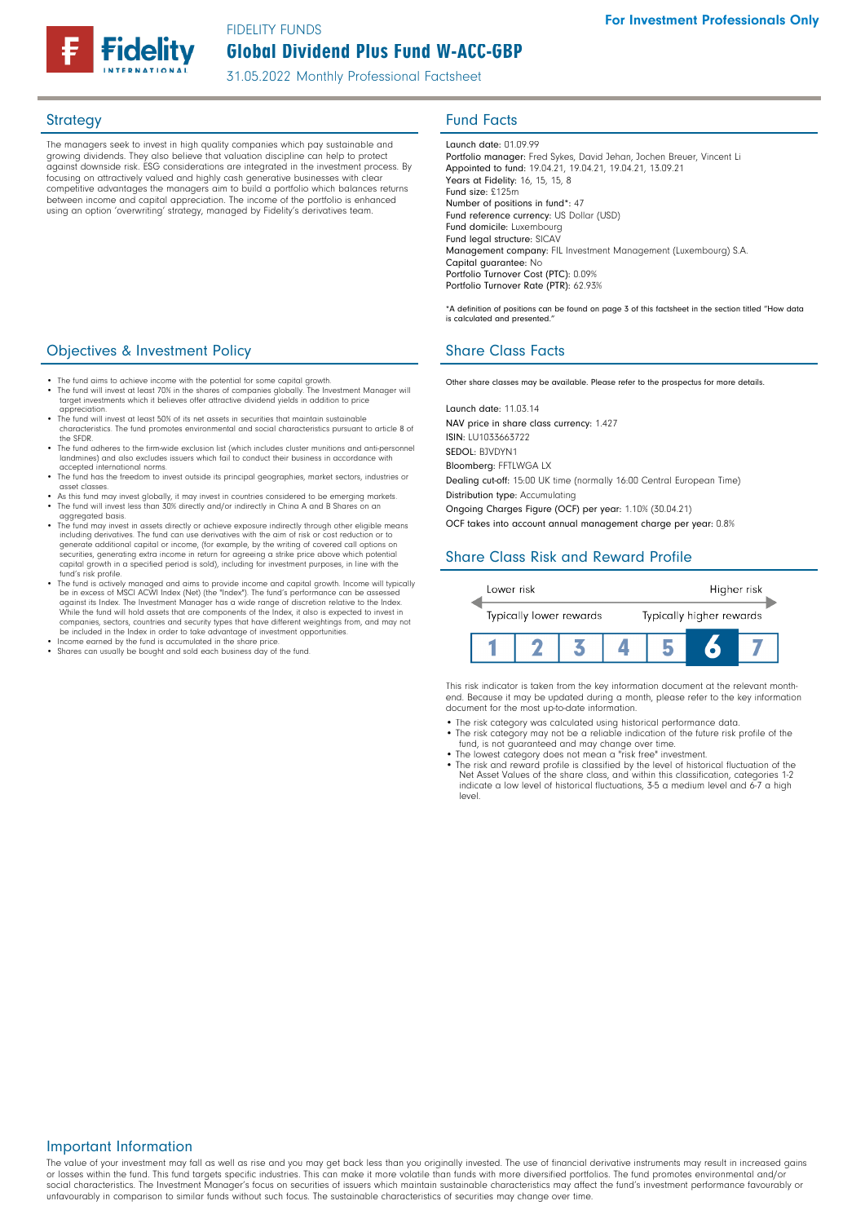Global Dividend Plus Fund W-ACC-GBP FIDELITY FUNDS

31.05.2022 Monthly Professional Factsheet

The managers seek to invest in high quality companies which pay sustainable and growing dividends. They also believe that valuation discipline can help to protect against downside risk. ESG considerations are integrated in the investment process. By focusing on attractively valued and highly cash generative businesses with clear competitive advantages the managers aim to build a portfolio which balances returns between income and capital appreciation. The income of the portfolio is enhanced using an option 'overwriting' strategy, managed by Fidelity's derivatives team.

### Strategy **Fund Facts**

Launch date: 01.09.99 Portfolio manager: Fred Sykes, David Jehan, Jochen Breuer, Vincent Li Appointed to fund: 19.04.21, 19.04.21, 19.04.21, 13.09.21 Years at Fidelity: 16, 15, 15, 8 Fund size: £125m Number of positions in fund\*: 47 Fund reference currency: US Dollar (USD) Fund domicile: Luxembourg Fund legal structure: SICAV Management company: FIL Investment Management (Luxembourg) S.A. Capital guarantee: No Portfolio Turnover Cost (PTC): 0.09% Portfolio Turnover Rate (PTR): 62.93%

\*A definition of positions can be found on page 3 of this factsheet in the section titled "How data is calculated and presented."

## **Objectives & Investment Policy Share Class Facts** Share Class Facts

Other share classes may be available. Please refer to the prospectus for more details.

• The fund will invest at least 70% in the shares of companies globally. The Investment Manager will target investments which it believes offer attractive dividend yields in addition to price appreciation.

The fund aims to achieve income with the potential for some capital growth.

- The fund will invest at least 50% of its net assets in securities that maintain sustainable characteristics. The fund promotes environmental and social characteristics pursuant to article 8 of the SFDR.
- The fund adheres to the firm-wide exclusion list (which includes cluster munitions and anti-perso landmines) and also excludes issuers which fail to conduct their business in accordance with accepted international norms.
- The fund has the freedom to invest outside its principal geographies, market sectors, industries or asset classes.
- As this fund may invest globally, it may invest in countries considered to be emerging markets. The fund will invest less than 30% directly and/or indirectly in China A and B Shares on an agaregated basis
- The fund may invest in assets directly or achieve exposure indirectly through other eligible means including derivatives. The fund can use derivatives with the aim of risk or cost reduction or to generate additional capital or income, (for example, by the writing of covered call options on securities, generating extra income in return for agreeing a strike price above which potential capital growth in a specified period is sold), including for investment purposes, in line with the fund's risk profile.
- The fund is actively managed and aims to provide income and capital growth. Income will typically be in excess of MSCI ACWI Index (Net) (the "Index"). The fund's performance can be assessed<br>against its Index. The Investment Manager has a wide range of discretion relative to the Index.<br>While the fund will hold assets th companies, sectors, countries and security types that have different weightings from, and may not be included in the Index in order to take advantage of investment opportunities.
- Income earned by the fund is accumulated in the share price.
- Shares can usually be bought and sold each business day of the fund.

Launch date: 11.03.14 NAV price in share class currency: 1.427 ISIN: LU1033663722 SEDOL: BJVDYN1 Bloomberg: FFTLWGA LX Dealing cut-off: 15:00 UK time (normally 16:00 Central European Time)

Distribution type: Accumulating

Ongoing Charges Figure (OCF) per year: 1.10% (30.04.21)

OCF takes into account annual management charge per year: 0.8%

## Share Class Risk and Reward Profile



This risk indicator is taken from the key information document at the relevant monthend. Because it may be updated during a month, please refer to the key information document for the most up-to-date information.

- The risk category was calculated using historical performance data. The risk category may not be a reliable indication of the future risk profile of the
- fund, is not guaranteed and may change over time. The lowest category does not mean a "risk free" investment.
- The risk and reward profile is classified by the level of historical fluctuation of the Net Asset Values of the share class, and within this classification, categories 1-2 indicate a low level of historical fluctuations, 3-5 a medium level and 6-7 a high level.

#### Important Information

The value of your investment may fall as well as rise and you may get back less than you originally invested. The use of financial derivative instruments may result in increased gains or losses within the fund. This fund targets specific industries. This can make it more volatile than funds with more diversified portfolios. The fund promotes environmental and/or social characteristics. The Investment Manager's focus on securities of issuers which maintain sustainable characteristics may affect the fund's investment performance favourably or unfavourably in comparison to similar funds without such focus. The sustainable characteristics of securities may change over time.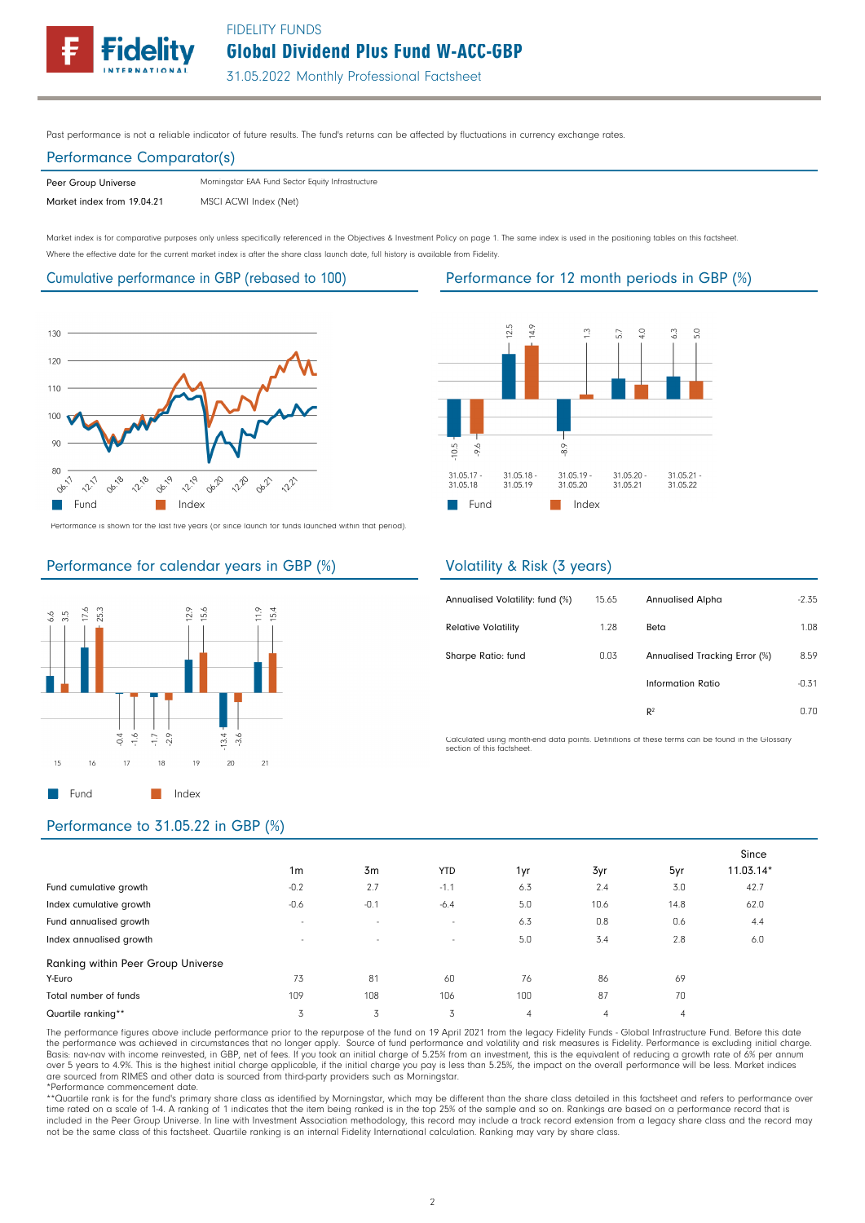FIDELITY FUNDS

Global Dividend Plus Fund W-ACC-GBP

31.05.2022 Monthly Professional Factsheet

Past performance is not a reliable indicator of future results. The fund's returns can be affected by fluctuations in currency exchange rates.

## Performance Comparator(s)

Peer Group Universe Market index from 19.04.21 MSCI ACWI Index (Net) Morningstar EAA Fund Sector Equity Infrastructure

Market index is for comparative purposes only unless specifically referenced in the Objectives & Investment Policy on page 1. The same index is used in the positioning tables on this factsheet. Where the effective date for the current market index is after the share class launch date, full history is available from Fidelity.

Cumulative performance in GBP (rebased to 100) Performance for 12 month periods in GBP (%)



Performance is shown for the last five years (or since launch for funds launched within that period).



### Performance for calendar years in GBP (%)



## Volatility & Risk (3 years)

| Annualised Volatility: fund (%) | 15.65 | <b>Annualised Alpha</b>       | $-2.35$ |
|---------------------------------|-------|-------------------------------|---------|
| <b>Relative Volatility</b>      | 1.28  | Beta                          | 1.08    |
| Sharpe Ratio: fund              | 0.03  | Annualised Tracking Error (%) | 8.59    |
|                                 |       | Information Ratio             | $-0.31$ |
|                                 |       | $R^2$                         | 0.70    |

Calculated using month-end data points. Definitions of these terms can be found in the Glossary section of this factsheet.

## Performance to 31.05.22 in GBP (%)

|                                    |                |        |            |     |      |      | Since       |
|------------------------------------|----------------|--------|------------|-----|------|------|-------------|
|                                    | 1 <sub>m</sub> | 3m     | <b>YTD</b> | 1yr | 3yr  | 5yr  | $11.03.14*$ |
| Fund cumulative growth             | $-0.2$         | 2.7    | $-1.1$     | 6.3 | 2.4  | 3.0  | 42.7        |
| Index cumulative growth            | $-0.6$         | $-0.1$ | $-6.4$     | 5.0 | 10.6 | 14.8 | 62.0        |
| Fund annualised growth             | $\sim$         | $\sim$ | $\sim$     | 6.3 | 0.8  | 0.6  | 4.4         |
| Index annualised growth            | $\sim$         | $\sim$ | $\sim$     | 5.0 | 3.4  | 2.8  | 6.0         |
| Ranking within Peer Group Universe |                |        |            |     |      |      |             |
| Y-Euro                             | 73             | 81     | 60         | 76  | 86   | 69   |             |
| Total number of funds              | 109            | 108    | 106        | 100 | 87   | 70   |             |
| Quartile ranking**                 | 3              | 3      | 3          | 4   | 4    | 4    |             |

The performance figures above include performance prior to the repurpose of the fund on 19 April 2021 from the legacy Fidelity Funds - Global Infrastructure Fund. Before this date the performance was achieved in circumstances that no longer apply. Source of fund performance and volatility and risk measures is Fidelity. Performance is excluding initial charge<br>Basis: nav-nav with income reinvested, in

\*Performance commencement date.<br>\*\*Quartile rank is for the fund's primary share class as identified by Morningstar, which may be different than the share class detailed in this factsheet and refers to performance over<br>time included in the Peer Group Universe. In line with Investment Association methodology, this record may include a track record extension from a legacy share class and the record may not be the same class of this factsheet. Quartile ranking is an internal Fidelity International calculation. Ranking may vary by share class.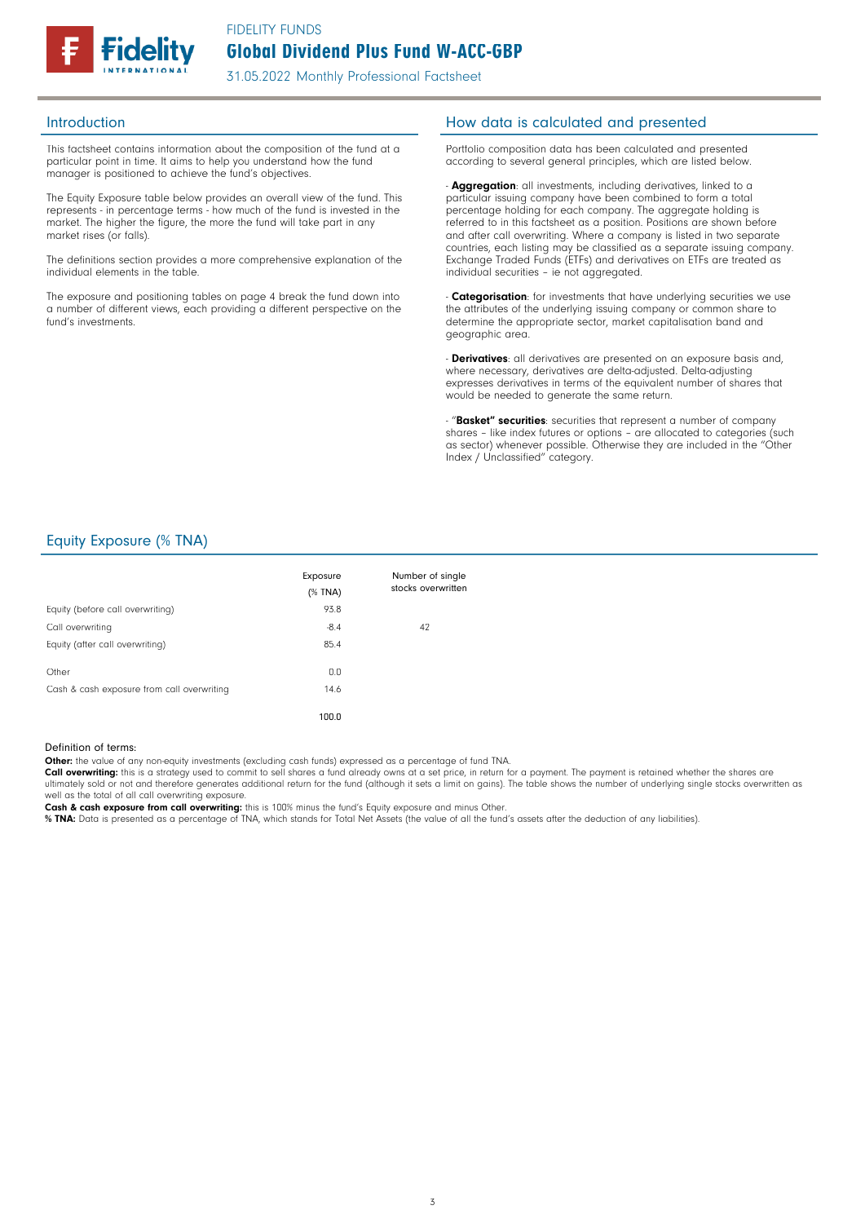

This factsheet contains information about the composition of the fund at a particular point in time. It aims to help you understand how the fund manager is positioned to achieve the fund's objectives.

The Equity Exposure table below provides an overall view of the fund. This represents - in percentage terms - how much of the fund is invested in the market. The higher the figure, the more the fund will take part in any market rises (or falls).

The definitions section provides a more comprehensive explanation of the individual elements in the table.

The exposure and positioning tables on page 4 break the fund down into a number of different views, each providing a different perspective on the fund's investments.

#### Introduction **Introduction How data is calculated and presented**

Portfolio composition data has been calculated and presented according to several general principles, which are listed below.

- **Aggregation**: all investments, including derivatives, linked to a particular issuing company have been combined to form a total percentage holding for each company. The aggregate holding is referred to in this factsheet as a position. Positions are shown before and after call overwriting. Where a company is listed in two separate countries, each listing may be classified as a separate issuing company. Exchange Traded Funds (ETFs) and derivatives on ETFs are treated as individual securities – ie not aggregated.

- Categorisation: for investments that have underlying securities we use the attributes of the underlying issuing company or common share to determine the appropriate sector, market capitalisation band and geographic area.

- **Derivatives**: all derivatives are presented on an exposure basis and, where necessary, derivatives are delta-adjusted. Delta-adjusting expresses derivatives in terms of the equivalent number of shares that would be needed to generate the same return.

- "Basket" securities: securities that represent a number of company shares – like index futures or options – are allocated to categories (such as sector) whenever possible. Otherwise they are included in the "Other Index / Unclassified" category.

## Equity Exposure (% TNA)

|                                            | Exposure<br>$(%$ TNA) | Number of single<br>stocks overwritten |
|--------------------------------------------|-----------------------|----------------------------------------|
| Equity (before call overwriting)           | 93.8                  |                                        |
| Call overwriting                           | $-8.4$                | 42                                     |
| Equity (after call overwriting)            | 85.4                  |                                        |
| Other                                      | 0.0                   |                                        |
| Cash & cash exposure from call overwriting | 14.6                  |                                        |
|                                            | 100.0                 |                                        |

#### Definition of terms:

Other: the value of any non-equity investments (excluding cash funds) expressed as a percentage of fund TNA.

Call overwriting: this is a strategy used to commit to sell shares a fund already owns at a set price, in return for a payment. The payment is retained whether the shares are ultimately sold or not and therefore generates additional return for the fund (although it sets a limit on gains). The table shows the number of underlying single stocks overwritten as well as the total of all call overwriting exposure.

Cash & cash exposure from call overwriting: this is 100% minus the fund's Equity exposure and minus Other.

% TNA: Data is presented as a percentage of TNA, which stands for Total Net Assets (the value of all the fund's assets after the deduction of any liabilities).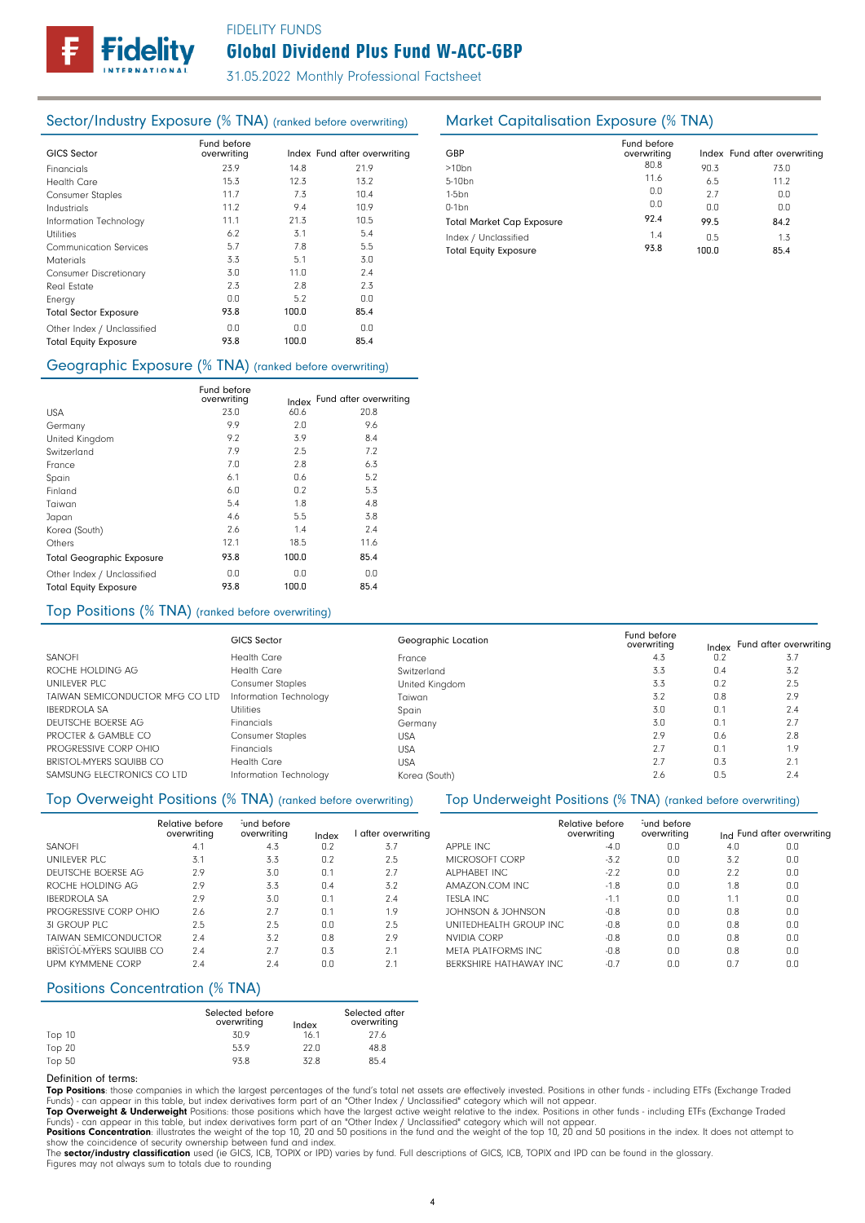## FIDELITY FUNDS

# Global Dividend Plus Fund W-ACC-GBP

31.05.2022 Monthly Professional Factsheet

## Sector/Industry Exposure (% TNA) (ranked before overwriting) Market Capitalisation Exposure (% TNA)

| <b>GICS Sector</b>            | Fund before<br>overwriting |       | Index Fund after overwriting |
|-------------------------------|----------------------------|-------|------------------------------|
| Financials                    | 23.9                       | 14.8  | 21.9                         |
| Health Care                   | 15.3                       | 12.3  | 13.2                         |
| <b>Consumer Staples</b>       | 11.7                       | 7.3   | 10.4                         |
| Industrials                   | 11.2                       | 9.4   | 10.9                         |
| Information Technology        | 11.1                       | 21.3  | 10.5                         |
| Utilities                     | 6.2                        | 3.1   | 5.4                          |
| Communication Services        | 5.7                        | 7.8   | 5.5                          |
| <b>Materials</b>              | 3.3                        | 5.1   | 3.0                          |
| <b>Consumer Discretionary</b> | 3.0                        | 11.0  | 2.4                          |
| Real Estate                   | 2.3                        | 2.8   | 2.3                          |
| Energy                        | 0.0                        | 5.2   | 0.0                          |
| <b>Total Sector Exposure</b>  | 93.8                       | 100.0 | 85.4                         |
| Other Index / Unclassified    | 0.0                        | 0.0   | 0.0                          |
| <b>Total Equity Exposure</b>  | 93.8                       | 100.0 | 85.4                         |

#### Geographic Exposure (% TNA) (ranked before overwriting)

|                                  | Fund before<br>overwriting | Index | Fund after overwriting |
|----------------------------------|----------------------------|-------|------------------------|
| <b>USA</b>                       | 23.0                       | 60.6  | 20.8                   |
| Germany                          | 9.9                        | 2.0   | 9.6                    |
| United Kingdom                   | 9.2                        | 3.9   | 8.4                    |
| Switzerland                      | 7.9                        | 2.5   | 7.2                    |
| France                           | 7.0                        | 2.8   | 6.3                    |
| Spain                            | 6.1                        | 0.6   | 5.2                    |
| Finland                          | 6.0                        | 0.2   | 5.3                    |
| Taiwan                           | 5.4                        | 1.8   | 4.8                    |
| Japan                            | 4.6                        | 5.5   | 3.8                    |
| Korea (South)                    | 2.6                        | 1.4   | 2.4                    |
| Others                           | 12.1                       | 18.5  | 11.6                   |
| <b>Total Geographic Exposure</b> | 93.8                       | 100.0 | 85.4                   |
| Other Index / Unclassified       | 0.0                        | 0.0   | 0.0                    |
| <b>Total Equity Exposure</b>     | 93.8                       | 100.0 | 85.4                   |

#### Top Positions (% TNA) (ranked before overwriting)

|                                 | <b>GICS Sector</b>      | Geographic Location | Fund before<br>overwriting |     | Index Fund after overwriting |
|---------------------------------|-------------------------|---------------------|----------------------------|-----|------------------------------|
| <b>SANOFI</b>                   | <b>Health Care</b>      | France              | 4.3                        | 0.2 |                              |
| ROCHE HOLDING AG                | <b>Health Care</b>      | Switzerland         | 3.3                        | 0.4 | 3.2                          |
| UNILEVER PLC                    | <b>Consumer Staples</b> | United Kingdom      | 3.3                        | 0.2 | 2.5                          |
| TAIWAN SEMICONDUCTOR MFG CO LTD | Information Technology  | Taiwan              | 3.2                        | 0.8 | 2.9                          |
| <b>IBERDROLA SA</b>             | <b>Utilities</b>        | Spain               | 3.0                        | 0.1 | 2.4                          |
| DEUTSCHE BOERSE AG              | Financials              | Germany             | 3.0                        | 0.1 | 2.7                          |
| PROCTER & GAMBLE CO             | <b>Consumer Staples</b> | USA                 | 2.9                        | 0.6 | 2.8                          |
| PROGRESSIVE CORP OHIO           | Financials              | <b>USA</b>          | 2.7                        | 0.1 | 1.9                          |
| BRISTOL-MYERS SQUIBB CO         | <b>Health Care</b>      | <b>USA</b>          | 2.7                        | 0.3 | 2.1                          |
| SAMSUNG ELECTRONICS CO LTD      | Information Technology  | Korea (South)       | 2.6                        | 0.5 | 2.4                          |
|                                 |                         |                     |                            |     |                              |

#### Top Overweight Positions (% TNA) (ranked before overwriting) Top Underweight Positions (% TNA) (ranked before overwriting)

|                             | Relative before<br>overwriting | und before<br>overwriting | Index | after overwriting |                  |
|-----------------------------|--------------------------------|---------------------------|-------|-------------------|------------------|
| <b>SANOFI</b>               | 4.1                            | 4.3                       | 0.2   | 3.7               | <b>APPLE INC</b> |
| UNILEVER PLC                | 3.1                            | 3.3                       | 0.2   | 2.5               | <b>MICROSO</b>   |
| DEUTSCHE BOERSE AG          | 2.9                            | 3.0                       | 0.1   | 2.7               | <b>ALPHARFT</b>  |
| ROCHE HOLDING AG            | 2.9                            | 3.3                       | 0.4   | 3.2               | AMAZON.          |
| <b>IBERDROLA SA</b>         | 2.9                            | 3.0                       | 0.1   | 7.4               | <b>TESLA INC</b> |
| PROGRESSIVE CORP OHIO       | 2.6                            | 2.7                       | 0.1   | 1.9               | <b>JOHNSON</b>   |
| 31 GROUP PLC                | 2.5                            | 2.5                       | 0.0   | 2.5               | <b>UNITEDHE</b>  |
| <b>TAIWAN SEMICONDUCTOR</b> | 7.4                            | 3.2                       | 0.8   | 2.9               | <b>NVIDIA CC</b> |
| BRISTOL-MYERS SQUIBB CO     | 7.4                            | 2.7                       | 0.3   | 2.1               | <b>MFTA PLA</b>  |
| <b>UPM KYMMENE CORP</b>     | 7.4                            | 7.4                       | 0.O   | 2.1               | <b>BERKSHIRE</b> |

### Positions Concentration (% TNA)

|        | Selected before<br>overwriting | Index | Selected after<br>overwriting |
|--------|--------------------------------|-------|-------------------------------|
| Top 10 | 30.9                           | 16.1  | 27.6                          |
| Top 20 | 53.9                           | 22.0  | 48.8                          |
| Top 50 | 93.8                           | 32.8  | 85.4                          |

#### Definition of terms:

Top Positions: those companies in which the largest percentages of the fund's total net assets are effectively invested. Positions in other funds - including ETFs (Exchange Traded Funds) - can appear in this table, but index derivatives form part of an "Other Index / Unclassified" category which will not appear.

**Top Overweight & Underweight** Positions: those positions which have the largest active weight relative to the index. Positions in other funds - including ETFs (Exchange Traded<br>Funds) - can appear in this table, but index

**Positions Concentration**: illustrates the weight of the top 10, 20 and 50 positions in the fund and the weight of the top 10, 20 and 50 positions in the index. It does not attempt to<br>show the coincidence of security owner

4

The sector/industry classification used (ie GICS, ICB, TOPIX or IPD) varies by fund. Full descriptions of GICS, ICB, TOPIX and IPD can be found in the glossary Figures may not always sum to totals due to rounding

| GBP                              | Fund before<br>overwriting |       | Index Fund after overwriting |
|----------------------------------|----------------------------|-------|------------------------------|
| $>10$ bn                         | 80.8                       | 90.3  | 73.0                         |
| 5-10 <sub>bn</sub>               | 11.6                       | 6.5   | 11.2                         |
| $1-5$ bn                         | 0.0                        | 2.7   | 0.0                          |
| $0-1$ bn                         | 0.0                        | 0.0   | 0.0                          |
| <b>Total Market Cap Exposure</b> | 92.4                       | 99.5  | 84.2                         |
| Index / Unclassified             | 1.4                        | 0.5   | 1.3                          |
| <b>Total Equity Exposure</b>     | 93.8                       | 100.0 | 85.4                         |

overwriting lnd Fund after overwriting

3.2 2.2 1.8 1.1 0.8 0.8 0.8 0.8 0.7

4.0 0.0

0.0 0.0 0.0 0.0 0.0  $0.0$ 0.0 0.0  $0.0$ 

iund before<br>overwriting

 $n<sub>0</sub>$ 0.0 0.0 0.0 0.0 0.0  $0.0$ 0.0 0.0  $0.0$ 

Relative before overwriting

> $-4.0$ -3.2 -2.2 -1.8 -1.1 -0.8 -0.8 -0.8 -0.8 -0.7

MICROSOFT CORP

JOHNSON & JOHNSON UNITEDHEALTH GROUP INC

ALPHABET INC AMAZON.COM INC TESLA INC

NVIDIA CORP META PLATFORMS INC BERKSHIRE HATHAWAY INC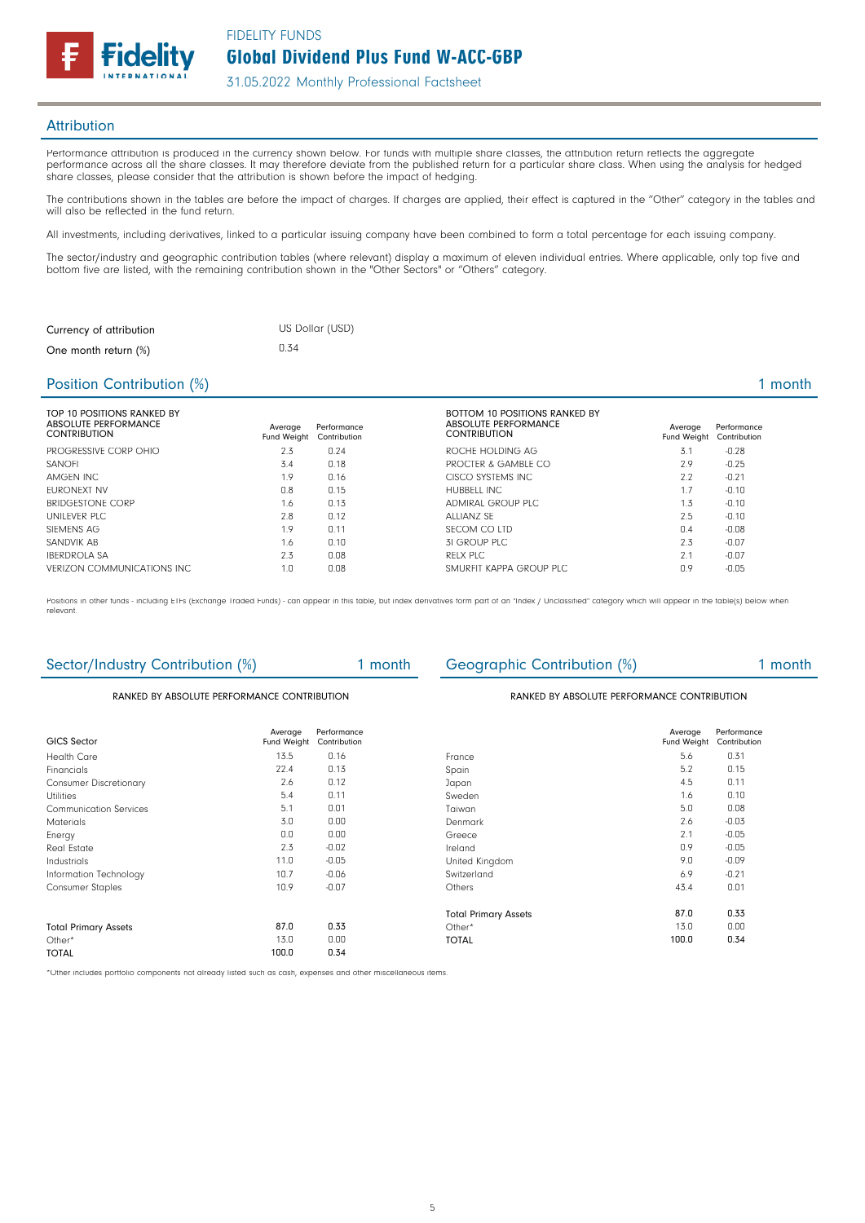

#### **Attribution**

Performance attribution is produced in the currency shown below. For funds with multiple share classes, the attribution return reflects the aggregate performance across all the share classes. It may therefore deviate from the published return for a particular share class. When using the analysis for hedged share classes, please consider that the attribution is shown before the impact of hedging.

The contributions shown in the tables are before the impact of charges. If charges are applied, their effect is captured in the "Other" category in the tables and will also be reflected in the fund return.

All investments, including derivatives, linked to a particular issuing company have been combined to form a total percentage for each issuing company.

The sector/industry and geographic contribution tables (where relevant) display a maximum of eleven individual entries. Where applicable, only top five and bottom five are listed, with the remaining contribution shown in the "Other Sectors" or "Others" category.

| Currency of attribution | US Dollar (USD) |
|-------------------------|-----------------|
| One month return (%)    | 0.34            |

#### Position Contribution (%) 2 month 2 month 2 month 2 month 2 month 2 month 2 month 2 month 2 month 2 month 2 month

| TOP 10 POSITIONS RANKED BY<br>ABSOLUTE PERFORMANCE<br><b>CONTRIBUTION</b> | Average<br>Fund Weight | Performance<br>Contribution | <b>BOTTOM 10 POSITIONS RANKED BY</b><br>ABSOLUTE PERFORMANCE<br><b>CONTRIBUTION</b> | Average<br>Fund Weight | Performance<br>Contribution |
|---------------------------------------------------------------------------|------------------------|-----------------------------|-------------------------------------------------------------------------------------|------------------------|-----------------------------|
| PROGRESSIVE CORP OHIO                                                     | 2.3                    | 0.24                        | ROCHE HOLDING AG                                                                    | 3.1                    | $-0.28$                     |
| <b>SANOFI</b>                                                             | 3.4                    | 0.18                        | PROCTER & GAMBLE CO                                                                 | 2.9                    | $-0.25$                     |
| AMGEN INC                                                                 | 1.9                    | 0.16                        | CISCO SYSTEMS INC.                                                                  | 2.2                    | $-0.21$                     |
| FURONEXT NV                                                               | 0.8                    | 0.15                        | HUBBELL INC                                                                         | 1.7                    | $-0.10$                     |
| <b>BRIDGESTONE CORP</b>                                                   | 1.6                    | 0.13                        | ADMIRAL GROUP PLC                                                                   | 1.3                    | $-0.10$                     |
| UNILFVER PLC.                                                             | 2.8                    | 0.12                        | ALLIANZ SF                                                                          | 2.5                    | $-0.10$                     |
| SIEMENS AG                                                                | 1.9                    | 0.11                        | SECOM CO LTD                                                                        | 0.4                    | $-0.08$                     |
| SANDVIK AB                                                                | 1.6                    | 0.10                        | 31 GROUP PLC                                                                        | 2.3                    | $-0.07$                     |
| <b>IBERDROLA SA</b>                                                       | 2.3                    | 0.08                        | RFLX PLC                                                                            | 2.1                    | $-0.07$                     |
| VERIZON COMMUNICATIONS INC.                                               | 1.0                    | 0.08                        | SMURFIT KAPPA GROUP PLC                                                             | 0.9                    | $-0.05$                     |

Positions in other funds - including ETFs (Exchange Traded Funds) - can appear in this table, but index derivatives form part of an "Index / Unclassified" category which will appear in the table(s) below when relevant.

### Sector/Industry Contribution (%) 1 month Geographic Contribution (%) 1 month

#### RANKED BY ABSOLUTE PERFORMANCE CONTRIBUTION **Example 20 ABSOLUTE PERFORMANCE CONTRIBUTION**

| GICS Sector                   | Average     | Performance<br>Contribution |                             | Average<br>Fund Weight | Performance<br>Contribution |
|-------------------------------|-------------|-----------------------------|-----------------------------|------------------------|-----------------------------|
|                               | Fund Weight |                             |                             |                        |                             |
| <b>Health Care</b>            | 13.5        | 0.16                        | France                      | 5.6                    | 0.31                        |
| Financials                    | 22.4        | 0.13                        | Spain                       | 5.2                    | 0.15                        |
| <b>Consumer Discretionary</b> | 2.6         | 0.12                        | Japan                       | 4.5                    | 0.11                        |
| <b>Utilities</b>              | 5.4         | 0.11                        | Sweden                      | 1.6                    | 0.10                        |
| <b>Communication Services</b> | 5.1         | 0.01                        | Taiwan                      | 5.0                    | 0.08                        |
| <b>Materials</b>              | 3.0         | 0.00                        | Denmark                     | 2.6                    | $-0.03$                     |
| Energy                        | 0.0         | 0.00                        | Greece                      | 2.1                    | $-0.05$                     |
| Real Estate                   | 2.3         | $-0.02$                     | Ireland                     | 0.9                    | $-0.05$                     |
| Industrials                   | 11.0        | $-0.05$                     | United Kingdom              | 9.0                    | $-0.09$                     |
| Information Technology        | 10.7        | $-0.06$                     | Switzerland                 | 6.9                    | $-0.21$                     |
| <b>Consumer Staples</b>       | 10.9        | $-0.07$                     | Others                      | 43.4                   | 0.01                        |
|                               |             |                             | <b>Total Primary Assets</b> | 87.0                   | 0.33                        |
| <b>Total Primary Assets</b>   | 87.0        | 0.33                        | Other $*$                   | 13.0                   | 0.00                        |
| Other*                        | 13.0        | 0.00                        | <b>TOTAL</b>                | 100.0                  | 0.34                        |
| <b>TOTAL</b>                  | 100.0       | 0.34                        |                             |                        |                             |

\*Other includes portfolio components not already listed such as cash, expenses and other miscellaneous items.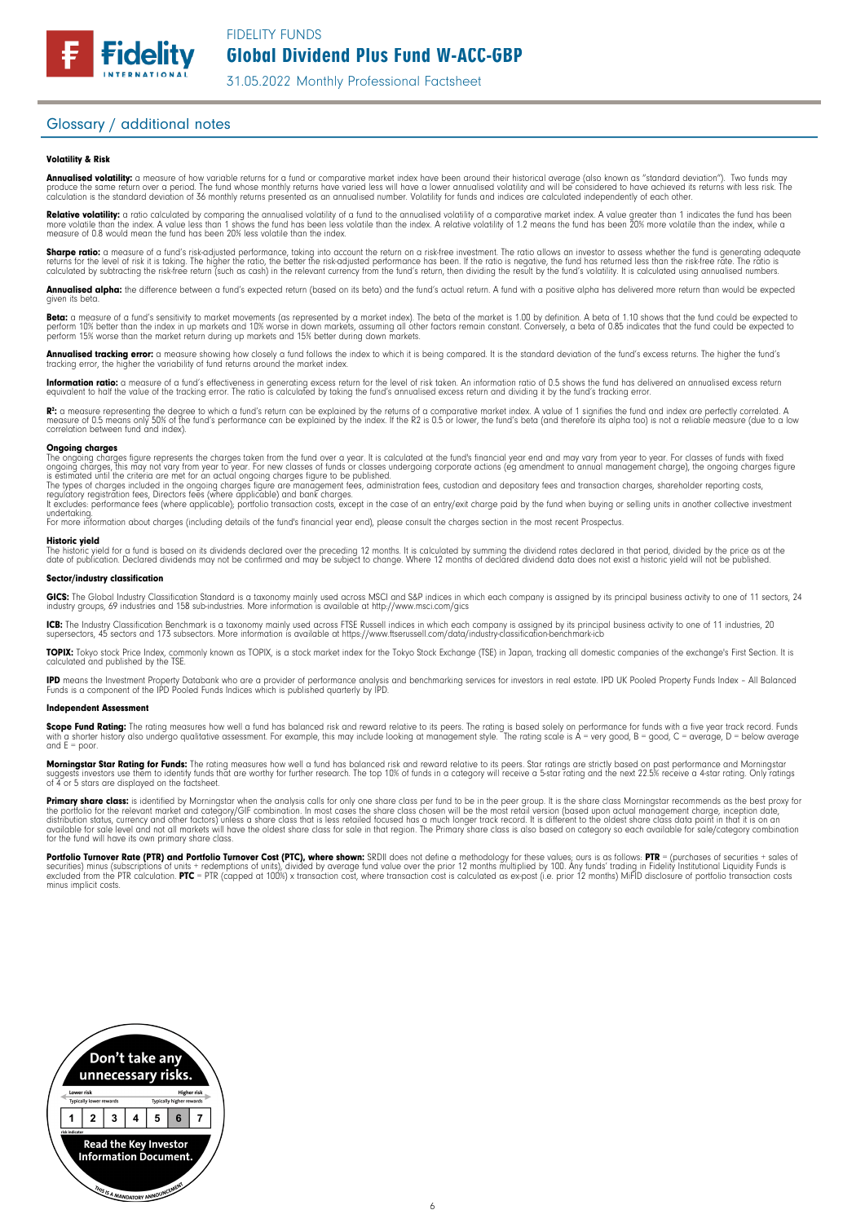### Glossary / additional notes

**Fidelity** 

#### Volatility & Risk

**Annualised volatility:** a measure of how variable returns for a fund or comparative market index have been around their historical average (also known as "standard deviation"). Two funds may<br>produce the same return over a calculation is the standard deviation of 36 monthly returns presented as an annualised number. Volatility for funds and indices are calculated independently of each other

**Relative volatility:** a ratio calculated by comparing the annualised volatility of a fund to the annualised volatility of a comparative market index. A value greater than 1 indicates the fund has been<br>more volatile than t measure of 0.8 would mean the fund has been 20% less volatile than the index.

**Sharpe ratio:** a measure of a fund's risk-adjusted performance, taking into account the return on a risk-free investment. The ratio allows an investor to assess whether the fund is generating adequate<br>returns for the leve calculated by subtracting the risk-free return (such as cash) in the relevant currency from the fund's return, then dividing the result by the fund's volatility. It is calculated using annualised numbers.

Annualised alpha: the difference between a fund's expected return (based on its beta) and the fund's actual return. A fund with a positive alpha has delivered more return than would be expected given its beta

**Beta:** a measure of a fund's sensitivity to market movements (as represented by a market index). The beta of the market is 1.00 by definition. A beta of 1.10 shows that the fund could be expected to<br>perform 10% better tha perform 15% worse than the market return during up markets and 15% better during down markets.

**Annualised tracking error:** a measure showing how closely a tund tollows the index to which it is being compared. It is the standard deviation of the fund's excess returns. The higher the fund's<br>tracking error, the higher

**Information ratio:** a measure ot a tund's eftectiveness in generating excess return for the level of risk taken. An information ratio of U.5 shows the fund has delivered an annualised excess return<br>equivalent to half the

Rº: a measure representing the degree to which a fund's return can be explained by the returns of a comparative market index. A value of 1 signifies the fund and index are perfectly correlated. A<br>measure of 0.5 means only correlation between fund and index).

**Ongoing charges**<br>The ongoing charges figure represents the charges taken from the fund over a year. It is calculated at the fund's financial year end and may vary from year to year. For classes of funds with fixed The ongoing charges figure represents the charges taken from the fund over a year. It is calculated at the fund's financial year end and may vary from year to year. For classes of funds with fixed groups, this monoing char

undertaking. For more information about charges (including details of the fund's financial year end), please consult the charges section in the most recent Prospectus.

#### Historic yield

The historic yield for a fund is based on its dividends declared over the preceding 12 months. It is calculated by summing the dividend rates declared in that period, divided by the price as at the<br>date of publication. Dec

#### Sector/industry classification

**GICS:** The Global Industry Classification Standard is a taxonomy mainly used across MSCI and S&P indices in which each company is assigned by its principal business activity to one of 11 sectors, 24<br>industry groups, 69 in

**ICB:** The Industry Classitication Benchmark is a taxonomy mainly used across FTSE Russell indices in which each company is assigned by its principal business activity to one of 11 industries, 20<br>supersectors, 45 sectors a

TOPIX: Tokyo stock Price Index, commonly known as TOPIX, is a stock market index for the Tokyo Stock Exchange (TSE) in Japan, tracking all domestic companies of the exchange's First Section. It is calculated and published by the TSE.

**IPD** means the Investment Property Databank who are a provider of performance analysis and benchmarking services for investors in real estate. IPD UK Pooled Property Funds Index - All Balanced<br>Funds is a component of the

#### Independent Assessment

**Scope Fund Rating:** The rating measures how well a fund has balanced risk and reward relative to its peers. The rating is based solely on performance for funds with a five year track record. Funds<br>with a shorter history a  $and E = poor$ 

**Morningstar Star Rating for Funds:** The rating measures how well a tund has balanced risk and reward relative to its peers. Star ratings are strictly based on past performance and Morningstar<br>suggests investors use them t

**Primary share class:** is identified by Morningstar when the analysis calls for only one share class per fund to be in the peer group. It is the share class Morningstar recommends as the best proxy for the best proxy for c for the fund will have its own primary share class.

Portfolio Turnover Rate (PTR) and Portfolio Turnover Cost (PTC), where shown: SRDII does not define a methodology for these values; ours is as follows: PTR = (purchases of securities + sales of securities) minus (subscriptions ot units + redemptions ot units), divided by average tund value over the prior 12 months multiplied by 100. Any tunds' trading in Fidelity Institutional Liquidity Funds is<br>excluded from the minus implicit costs.